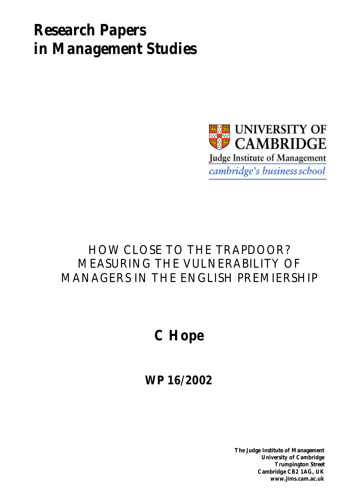# *Research Papers in Management Studies*



# HOW CLOSE TO THE TRAPDOOR? MEASURING THE VULNERABILITY OF MANAGERS IN THE ENGLISH PREMIERSHIP

# **C Hope**

**WP 16/2002**

**The Judge Institute of Management University of Cambridge Trumpington Street Cambridge CB2 1AG, UK www.jims.cam.ac.uk**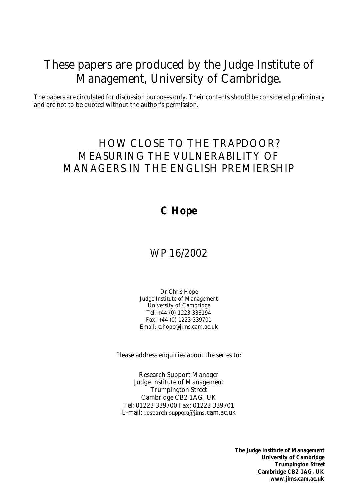# These papers are produced by the Judge Institute of Management, University of Cambridge.

The papers are circulated for discussion purposes only. Their contents should be considered preliminary and are not to be quoted without the author's permission.

# HOW CLOSE TO THE TRAPDOOR? MEASURING THE VULNERABILITY OF MANAGERS IN THE ENGLISH PREMIERSHIP

# **C Hope**

# WP 16/2002

Dr Chris Hope Judge Institute of Management University of Cambridge Tel: +44 (0) 1223 338194 Fax: +44 (0) 1223 339701 Email: c.hope@jims.cam.ac.uk

Please address enquiries about the series to:

Research Support Manager Judge Institute of Management Trumpington Street Cambridge CB2 1AG, UK Tel: 01223 339700 Fax: 01223 339701 E-mail: research-support@jims.cam.ac.uk

> **The Judge Institute of Management University of Cambridge Trumpington Street Cambridge CB2 1AG, UK www.jims.cam.ac.uk**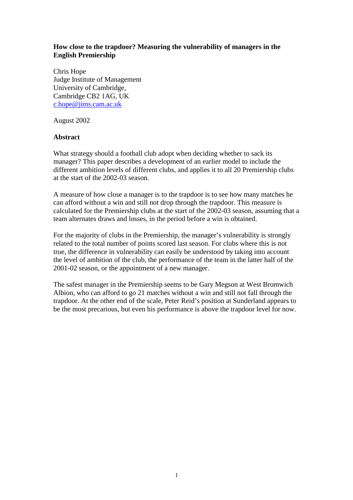## **How close to the trapdoor? Measuring the vulnerability of managers in the English Premiership**

Chris Hope Judge Institute of Management University of Cambridge, Cambridge CB2 1AG, UK c.hope@jims.cam.ac.uk

August 2002

### **Abstract**

What strategy should a football club adopt when deciding whether to sack its manager? This paper describes a development of an earlier model to include the different ambition levels of different clubs, and applies it to all 20 Premiership clubs at the start of the 2002-03 season.

A measure of how close a manager is to the trapdoor is to see how many matches he can afford without a win and still not drop through the trapdoor. This measure is calculated for the Premiership clubs at the start of the 2002-03 season, assuming that a team alternates draws and losses, in the period before a win is obtained.

For the majority of clubs in the Premiership, the manager's vulnerability is strongly related to the total number of points scored last season. For clubs where this is not true, the difference in vulnerability can easily be understood by taking into account the level of ambition of the club, the performance of the team in the latter half of the 2001-02 season, or the appointment of a new manager.

The safest manager in the Premiership seems to be Gary Megson at West Bromwich Albion, who can afford to go 21 matches without a win and still not fall through the trapdoor. At the other end of the scale, Peter Reid's position at Sunderland appears to be the most precarious, but even his performance is above the trapdoor level for now.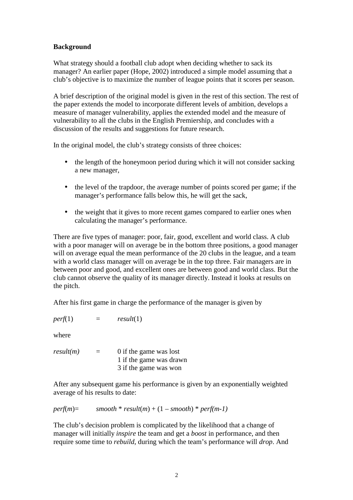# **Background**

What strategy should a football club adopt when deciding whether to sack its manager? An earlier paper (Hope, 2002) introduced a simple model assuming that a club's objective is to maximize the number of league points that it scores per season.

A brief description of the original model is given in the rest of this section. The rest of the paper extends the model to incorporate different levels of ambition, develops a measure of manager vulnerability, applies the extended model and the measure of vulnerability to all the clubs in the English Premiership, and concludes with a discussion of the results and suggestions for future research.

In the original model, the club's strategy consists of three choices:

- the length of the honeymoon period during which it will not consider sacking a new manager,
- the level of the trapdoor, the average number of points scored per game; if the manager's performance falls below this, he will get the sack,
- the weight that it gives to more recent games compared to earlier ones when calculating the manager's performance.

There are five types of manager: poor, fair, good, excellent and world class. A club with a poor manager will on average be in the bottom three positions, a good manager will on average equal the mean performance of the 20 clubs in the league, and a team with a world class manager will on average be in the top three. Fair managers are in between poor and good, and excellent ones are between good and world class. But the club cannot observe the quality of its manager directly. Instead it looks at results on the pitch.

After his first game in charge the performance of the manager is given by

 $perf(1)$  =  $result(1)$ 

where

 $result(m)$  = 0 if the game was lost 1 if the game was drawn 3 if the game was won

After any subsequent game his performance is given by an exponentially weighted average of his results to date:

$$
perf(m) = \qquad smooth * result(m) + (1 - smooth) * perf(m-1)
$$

The club's decision problem is complicated by the likelihood that a change of manager will initially *inspire* the team and get a *boost* in performance, and then require some time to *rebuild*, during which the team's performance will *drop*. And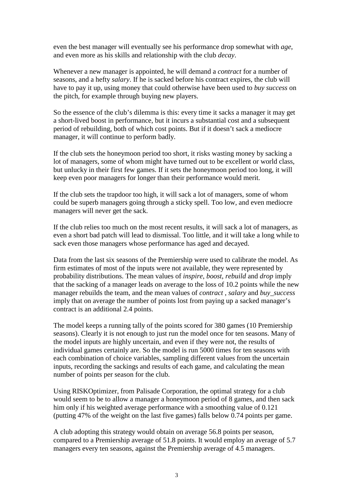even the best manager will eventually see his performance drop somewhat with *age*, and even more as his skills and relationship with the club *decay*.

Whenever a new manager is appointed, he will demand a *contract* for a number of seasons, and a hefty *salary*. If he is sacked before his contract expires, the club will have to pay it up, using money that could otherwise have been used to *buy success* on the pitch, for example through buying new players.

So the essence of the club's dilemma is this: every time it sacks a manager it may get a short-lived boost in performance, but it incurs a substantial cost and a subsequent period of rebuilding, both of which cost points. But if it doesn't sack a mediocre manager, it will continue to perform badly.

If the club sets the honeymoon period too short, it risks wasting money by sacking a lot of managers, some of whom might have turned out to be excellent or world class, but unlucky in their first few games. If it sets the honeymoon period too long, it will keep even poor managers for longer than their performance would merit.

If the club sets the trapdoor too high, it will sack a lot of managers, some of whom could be superb managers going through a sticky spell. Too low, and even mediocre managers will never get the sack.

If the club relies too much on the most recent results, it will sack a lot of managers, as even a short bad patch will lead to dismissal. Too little, and it will take a long while to sack even those managers whose performance has aged and decayed.

Data from the last six seasons of the Premiership were used to calibrate the model. As firm estimates of most of the inputs were not available, they were represented by probability distributions. The mean values of *inspire*, *boost*, *rebuild* and *drop* imply that the sacking of a manager leads on average to the loss of 10.2 points while the new manager rebuilds the team, and the mean values of *contract* , *salary* and *buy\_success* imply that on average the number of points lost from paying up a sacked manager's contract is an additional 2.4 points.

The model keeps a running tally of the points scored for 380 games (10 Premiership seasons). Clearly it is not enough to just run the model once for ten seasons. Many of the model inputs are highly uncertain, and even if they were not, the results of individual games certainly are. So the model is run 5000 times for ten seasons with each combination of choice variables, sampling different values from the uncertain inputs, recording the sackings and results of each game, and calculating the mean number of points per season for the club.

Using RISKOptimizer, from Palisade Corporation, the optimal strategy for a club would seem to be to allow a manager a honeymoon period of 8 games, and then sack him only if his weighted average performance with a smoothing value of 0.121 (putting 47% of the weight on the last five games) falls below 0.74 points per game.

A club adopting this strategy would obtain on average 56.8 points per season, compared to a Premiership average of 51.8 points. It would employ an average of 5.7 managers every ten seasons, against the Premiership average of 4.5 managers.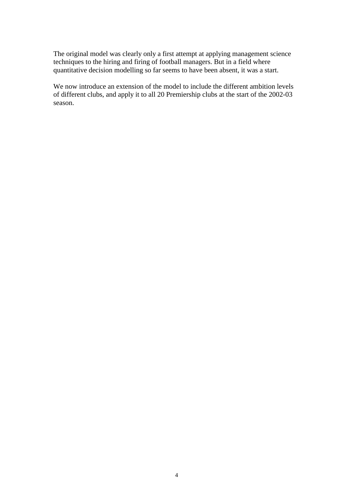The original model was clearly only a first attempt at applying management science techniques to the hiring and firing of football managers. But in a field where quantitative decision modelling so far seems to have been absent, it was a start.

We now introduce an extension of the model to include the different ambition levels of different clubs, and apply it to all 20 Premiership clubs at the start of the 2002-03 season.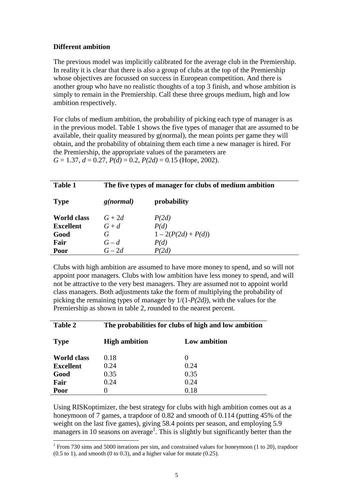## **Different ambition**

 $\overline{\phantom{a}}$ 

The previous model was implicitly calibrated for the average club in the Premiership. In reality it is clear that there is also a group of clubs at the top of the Premiership whose objectives are focussed on success in European competition. And there is another group who have no realistic thoughts of a top 3 finish, and whose ambition is simply to remain in the Premiership. Call these three groups medium, high and low ambition respectively.

For clubs of medium ambition, the probability of picking each type of manager is as in the previous model. Table 1 shows the five types of manager that are assumed to be available, their quality measured by g(normal), the mean points per game they will obtain, and the probability of obtaining them each time a new manager is hired. For the Premiership, the appropriate values of the parameters are *G* = 1.37, *d* = 0.27, *P(d)* = 0.2, *P(2d)* = 0.15 (Hope, 2002).

| <b>Table 1</b>     | The five types of manager for clubs of medium ambition |                     |  |
|--------------------|--------------------------------------------------------|---------------------|--|
| <b>Type</b>        | g(normal)                                              | probability         |  |
| <b>World class</b> | $G+2d$                                                 | P(2d)               |  |
| <b>Excellent</b>   | $G+d$                                                  | P(d)                |  |
| Good               | G                                                      | $1-2(P(2d) + P(d))$ |  |
| Fair               | $G-d$                                                  | P(d)                |  |
| Poor               | $G-2d$                                                 | P(2d)               |  |

Clubs with high ambition are assumed to have more money to spend, and so will not appoint poor managers. Clubs with low ambition have less money to spend, and will not be attractive to the very best managers. They are assumed not to appoint world class managers. Both adjustments take the form of multiplying the probability of picking the remaining types of manager by 1/(1-*P(2d)*), with the values for the Premiership as shown in table 2, rounded to the nearest percent.

| <b>Table 2</b>     | The probabilities for clubs of high and low ambition |                   |  |
|--------------------|------------------------------------------------------|-------------------|--|
| <b>Type</b>        | <b>High ambition</b><br>Low ambition                 |                   |  |
| <b>World class</b> | 0.18                                                 | $\mathbf{\Omega}$ |  |
| <b>Excellent</b>   | 0.24                                                 | 0.24              |  |
| Good               | 0.35                                                 | 0.35              |  |
| Fair               | 0.24                                                 | 0.24              |  |
| Poor               | 0.18<br>0                                            |                   |  |

Using RISKoptimizer, the best strategy for clubs with high ambition comes out as a honeymoon of 7 games, a trapdoor of 0.82 and smooth of 0.114 (putting 45% of the weight on the last five games), giving 58.4 points per season, and employing 5.9 managers in 10 seasons on average<sup>1</sup>. This is slightly but significantly better than the

<sup>&</sup>lt;sup>1</sup> From 730 sims and 5000 iterations per sim, and constrained values for honeymoon (1 to 20), trapdoor  $(0.5 \text{ to } 1)$ , and smooth  $(0 \text{ to } 0.3)$ , and a higher value for mutate  $(0.25)$ .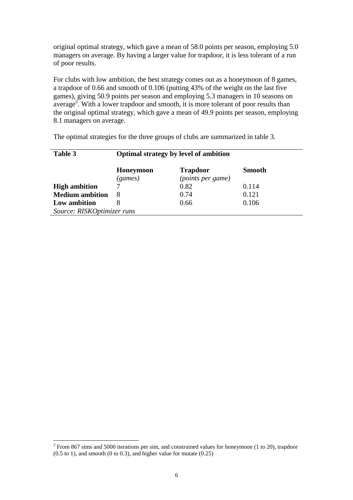original optimal strategy, which gave a mean of 58.0 points per season, employing 5.0 managers on average. By having a larger value for trapdoor, it is less tolerant of a run of poor results.

For clubs with low ambition, the best strategy comes out as a honeymoon of 8 games, a trapdoor of 0.66 and smooth of 0.106 (putting 43% of the weight on the last five games), giving 50.9 points per season and employing 5.3 managers in 10 seasons on average<sup>2</sup>. With a lower trapdoor and smooth, it is more tolerant of poor results than the original optimal strategy, which gave a mean of 49.9 points per season, employing 8.1 managers on average.

The optimal strategies for the three groups of clubs are summarized in table 3.

| Table 3                    | Optimal strategy by level of ambition |                                      |               |
|----------------------------|---------------------------------------|--------------------------------------|---------------|
|                            | Honeymoon<br>(games)                  | <b>Trapdoor</b><br>(points per game) | <b>Smooth</b> |
| <b>High ambition</b>       |                                       | 0.82                                 | 0.114         |
| <b>Medium</b> ambition     | 8                                     | 0.74                                 | 0.121         |
| Low ambition               | 0.66<br>0.106                         |                                      |               |
| Source: RISKOptimizer runs |                                       |                                      |               |

 $\overline{\phantom{a}}$ 

 $2$  From 867 sims and 5000 iterations per sim, and constrained values for honeymoon (1 to 20), trapdoor

 $(0.5 \text{ to } 1)$ , and smooth  $(0 \text{ to } 0.3)$ , and higher value for mutate  $(0.25)$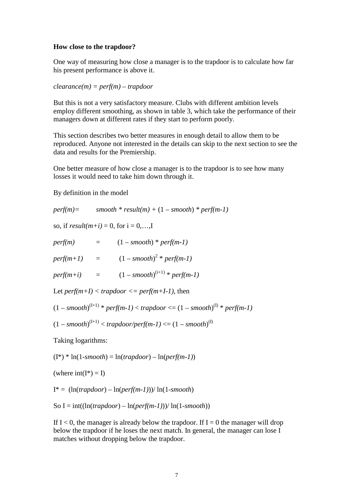#### **How close to the trapdoor?**

One way of measuring how close a manager is to the trapdoor is to calculate how far his present performance is above it.

*clearance(m) = perf(m) – trapdoor* 

But this is not a very satisfactory measure. Clubs with different ambition levels employ different smoothing, as shown in table 3, which take the performance of their managers down at different rates if they start to perform poorly.

This section describes two better measures in enough detail to allow them to be reproduced. Anyone not interested in the details can skip to the next section to see the data and results for the Premiership.

One better measure of how close a manager is to the trapdoor is to see how many losses it would need to take him down through it.

By definition in the model

 $perf(m) =$   $smooth * result(m) + (1 - smooth) * perf(m-1)$ so, if  $result(m+i) = 0$ , for  $i = 0,...,I$  $perf(m)$  =  $(1 - smooth) * perf(m-1)$  $perf(m+1)$  =  $(1 - smooth)^2 * perf(m-1)$  $perf(m+i) = (1 - smooth)^{(i+1)} * perf(m-1)$ Let  $perf(m+I) < trapdoor \leq perf(m+I-1)$ , then  $(1 - smooth)^{(I+1)} * perf(m-1) < trapdoor \le (1 - smooth)^{(I)} * perf(m-1)$  $(1 - smooth)^{(l+1)} < trapdoor/perf(m-l) < (1 - smooth)^{(l)}$ Taking logarithms: (I\*) \* ln(1-*smooth*) = ln(*trapdoor*) – ln(*perf(m-1)*)

(where  $int(I^*) = I$ )

 $I^* = (\ln(ra, -1) - \ln(\text{perf}(m-1))) / \ln(1 - \text{smooth})$ 

So  $I = int(\ln(t \cdot \text{random}) - ln(\text{perf}(m-1)))/ ln(1 - \text{smooth}))$ 

If  $I < 0$ , the manager is already below the trapdoor. If  $I = 0$  the manager will drop below the trapdoor if he loses the next match. In general, the manager can lose I matches without dropping below the trapdoor.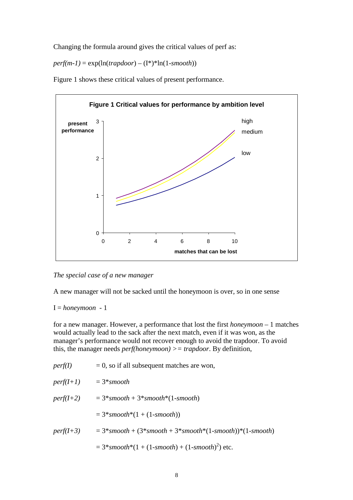Changing the formula around gives the critical values of perf as:

 $perf(m-1) = \exp(\ln(trapdoor) - (I^*)^*ln(1-smooth))$ 

Figure 1 shows these critical values of present performance.



*The special case of a new manager* 

A new manager will not be sacked until the honeymoon is over, so in one sense

 $I = \text{homeymoon} - 1$ 

for a new manager. However, a performance that lost the first *honeymoon* – 1 matches would actually lead to the sack after the next match, even if it was won, as the manager's performance would not recover enough to avoid the trapdoor. To avoid this, the manager needs *perf(honeymoon) >= trapdoor*. By definition,

| perf(I)     | $= 0$ , so if all subsequent matches are won,                 |
|-------------|---------------------------------------------------------------|
| $perf(I+1)$ | $= 3*$ smooth                                                 |
| $perf(I+2)$ | $= 3*smooth + 3*smooth*(1-smooth)$                            |
|             | $= 3*smooth*(1 + (1-smooth))$                                 |
| $perf(I+3)$ | $= 3*smooth + (3*smooth + 3*smooth * (1-smooth) * (1-smooth)$ |
|             | $= 3*smooth*(1 + (1-smooth) + (1-smooth)^{2})$ etc.           |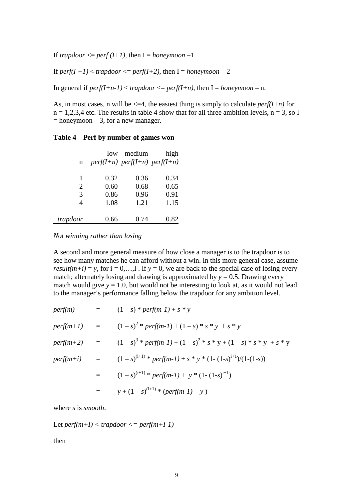If *trapdoor*  $\leq$  *perf* (*I+1*), then I = *honeymoon* -1

If  $perf(I+1)$  <  $trapdoor \leq perf(I+2)$ , then  $I = homeymoon - 2$ 

In general if  $perf(I+n-1) < trapdoor \leq perf(I+n)$ , then  $I = homeymoon - n$ .

As, in most cases, n will be  $\leq 4$ , the easiest thing is simply to calculate *perf(I+n)* for  $n = 1,2,3,4$  etc. The results in table 4 show that for all three ambition levels,  $n = 3$ , so I  $=$  honeymoon  $-3$ , for a new manager.

#### **Table 4 Perf by number of games won**

|          | low  | medium                          | high |
|----------|------|---------------------------------|------|
| n        |      | $perf(I+n)$ perf(I+n) perf(I+n) |      |
|          |      |                                 |      |
| 1        | 0.32 | 0.36                            | 0.34 |
| 2        | 0.60 | 0.68                            | 0.65 |
| 3        | 0.86 | 0.96                            | 0.91 |
|          | 1.08 | 1.21                            | 1.15 |
|          |      |                                 |      |
| trapdoor | 0.66 | 0.74                            | 0.82 |

*Not winning rather than losing* 

A second and more general measure of how close a manager is to the trapdoor is to see how many matches he can afford without a win. In this more general case, assume *result*( $m+i$ ) = *y*, for  $i = 0,...,I$ . If  $y = 0$ , we are back to the special case of losing every match; alternately losing and drawing is approximated by  $y = 0.5$ . Drawing every match would give  $y = 1.0$ , but would not be interesting to look at, as it would not lead to the manager's performance falling below the trapdoor for any ambition level.

|                            | <i>perf(m)</i> = $(1-s) * perf(m-1) + s * y$                                       |
|----------------------------|------------------------------------------------------------------------------------|
|                            | $perf(m+1)$ = $(1-s)^2 * perf(m-1) + (1-s) * s * y + s * y$                        |
|                            | $perf(m+2)$ = $(1-s)^3 * perf(m-1) + (1-s)^2 * s * y + (1-s) * s * y + s * y$      |
|                            | <i>perf(m+i)</i> = $(1-s)^{(i+1)} * perf(m-1) + s * y * (1-(1-s)^{i+1})/(1-(1-s))$ |
| $\equiv$ $\equiv$ $\equiv$ | $(1-s)^{(i+1)} * perf(m-1) + y * (1-(1-s)^{i+1})$                                  |
| $=$ $-$                    | $y + (1 - s)^{(1+1)} * (perf(m-1) - y)$                                            |

where *s* is *smooth*.

$$
Let  $perf(m+1) < trapdoor <=perf(m+1-1)$
$$

then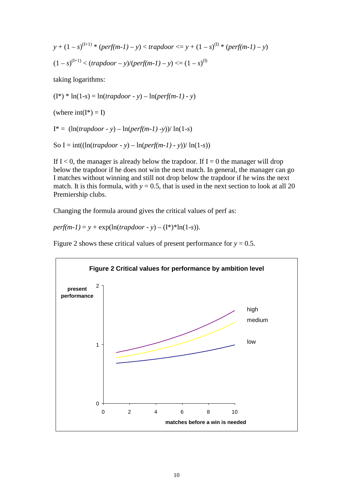$$
y + (1 - s)^{(1+1) * (perf(m-1) - y) < trapdoor \le y + (1 - s)^{(1) * (perf(m-1) - y)}
$$
  
\n
$$
(1 - s)^{(1+1)} < (trapdoor - y)/(perf(m-1) - y) < (1 - s)^{(1)}
$$
  
\ntaking logarithms:  
\n
$$
(I^*)^* \ln(1-s) = \ln(trapdoor - y) - \ln(perf(m-1) - y)
$$

(where  $int(I^*) = I$ )

 $I^* = (\ln(t \cdot \text{mapdoor} - y) - \ln(\text{perf(m-1)} - y)) / \ln(1-s)$ 

So I = int(
$$
\ln(t \cdot \text{trapdoor} - y) - \ln(\text{perf(m-1)} - y)
$$
)/  $\ln(1-s)$ )

If  $I < 0$ , the manager is already below the trapdoor. If  $I = 0$  the manager will drop below the trapdoor if he does not win the next match. In general, the manager can go I matches without winning and still not drop below the trapdoor if he wins the next match. It is this formula, with  $y = 0.5$ , that is used in the next section to look at all 20 Premiership clubs.

Changing the formula around gives the critical values of perf as:

*perf(m-1)* =  $y + \exp(\ln(t \cdot \text{r} \cdot \text{r})) - (I^*)^* \ln(1-s)).$ 

Figure 2 shows these critical values of present performance for  $y = 0.5$ .

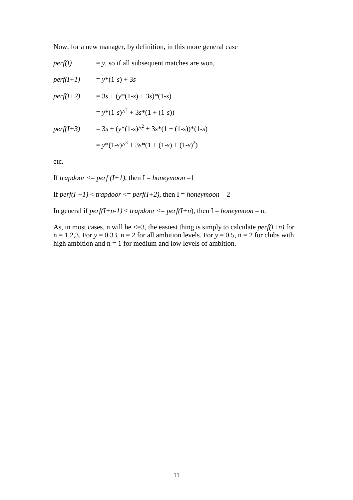Now, for a new manager, by definition, in this more general case

*perf(I)*  $= y$ , so if all subsequent matches are won,

| $perf(I+1)$ | $= y*(1-s) + 3s$                             |
|-------------|----------------------------------------------|
| $perf(I+2)$ | $= 3s + (y*(1-s) + 3s)*(1-s)$                |
|             | $= y*(1-s)^{2} + 3s*(1 + (1-s))$             |
| $perf(I+3)$ | $= 3s + (y*(1-s)^{2} + 3s*(1+(1-s))*(1-s))$  |
|             | $= y*(1-s)^{3} + 3s*(1 + (1-s) + (1-s)^{2})$ |

etc.

If *trapdoor*  $\leq$  *perf* (*I+1*), then I = *honeymoon* –1

If  $perf(I + I) < trapdoor \leq perf(I + 2)$ , then  $I = homeymoon - 2$ 

In general if  $perf(I+n-1) < trapdoor \leq perf(I+n)$ , then  $I = homeymoon - n$ .

As, in most cases, n will be  $\leq$  = 3, the easiest thing is simply to calculate *perf(I+n)* for  $n = 1,2,3$ . For  $y = 0.33$ ,  $n = 2$  for all ambition levels. For  $y = 0.5$ ,  $n = 2$  for clubs with high ambition and  $n = 1$  for medium and low levels of ambition.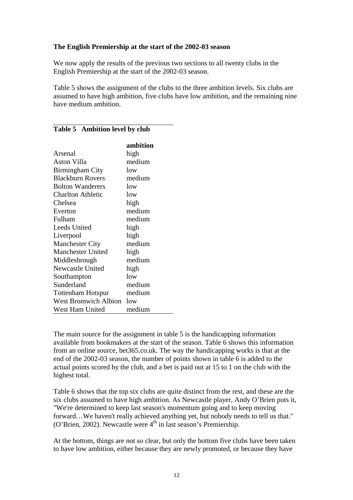### **The English Premiership at the start of the 2002-03 season**

**ambition** 

We now apply the results of the previous two sections to all twenty clubs in the English Premiership at the start of the 2002-03 season.

Table 5 shows the assignment of the clubs to the three ambition levels. Six clubs are assumed to have high ambition, five clubs have low ambition, and the remaining nine have medium ambition.

|                          | ambition |
|--------------------------|----------|
| Arsenal                  | high     |
| Aston Villa              | medium   |
| <b>Birmingham City</b>   | low      |
| <b>Blackburn Rovers</b>  | medium   |
| <b>Bolton Wanderers</b>  | low      |
| <b>Charlton Athletic</b> | low      |
| Chelsea                  | high     |
| Everton                  | medium   |
| Fulham                   | medium   |
| <b>Leeds United</b>      | high     |
| Liverpool                | high     |
| <b>Manchester City</b>   | medium   |
| <b>Manchester United</b> | high     |
| Middlesbrough            | medium   |
| Newcastle United         | high     |
| Southampton              | low      |
| Sunderland               | medium   |
| <b>Tottenham Hotspur</b> | medium   |
| West Bromwich Albion low |          |
| West Ham United          | medium   |

# **Table 5 Ambition level by club**

The main source for the assignment in table 5 is the handicapping information available from bookmakers at the start of the season. Table 6 shows this information from an online source, bet365.co.uk. The way the handicapping works is that at the end of the 2002-03 season, the number of points shown in table 6 is added to the actual points scored by the club, and a bet is paid out at 15 to 1 on the club with the highest total.

Table 6 shows that the top six clubs are quite distinct from the rest, and these are the six clubs assumed to have high ambition. As Newcastle player, Andy O'Brien puts it, "We're determined to keep last season's momentum going and to keep moving forward…We haven't really achieved anything yet, but nobody needs to tell us that." (O'Brien, 2002). Newcastle were  $4<sup>th</sup>$  in last season's Premiership.

At the bottom, things are not so clear, but only the bottom five clubs have been taken to have low ambition, either because they are newly promoted, or because they have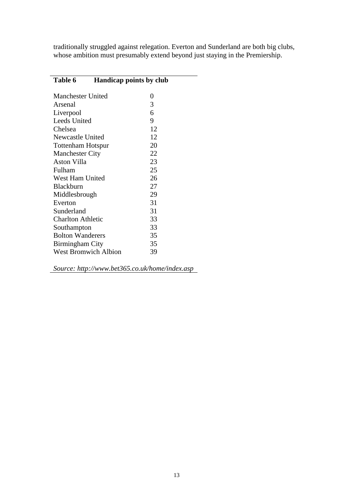traditionally struggled against relegation. Everton and Sunderland are both big clubs, whose ambition must presumably extend beyond just staying in the Premiership.

| 0                                                                                                                                                                                                                                               |                                |
|-------------------------------------------------------------------------------------------------------------------------------------------------------------------------------------------------------------------------------------------------|--------------------------------|
| 3                                                                                                                                                                                                                                               |                                |
| 6                                                                                                                                                                                                                                               |                                |
| 9                                                                                                                                                                                                                                               |                                |
| 12                                                                                                                                                                                                                                              |                                |
| 12                                                                                                                                                                                                                                              |                                |
| 20                                                                                                                                                                                                                                              |                                |
| 22                                                                                                                                                                                                                                              |                                |
| 23                                                                                                                                                                                                                                              |                                |
| 25                                                                                                                                                                                                                                              |                                |
| 26                                                                                                                                                                                                                                              |                                |
| 27                                                                                                                                                                                                                                              |                                |
| 29                                                                                                                                                                                                                                              |                                |
| 31                                                                                                                                                                                                                                              |                                |
| 31                                                                                                                                                                                                                                              |                                |
| 33                                                                                                                                                                                                                                              |                                |
| 33                                                                                                                                                                                                                                              |                                |
| 35                                                                                                                                                                                                                                              |                                |
| 35                                                                                                                                                                                                                                              |                                |
| 39                                                                                                                                                                                                                                              |                                |
| <b>Manchester United</b><br>Newcastle United<br><b>Tottenham Hotspur</b><br><b>Manchester City</b><br>West Ham United<br>Middlesbrough<br><b>Charlton Athletic</b><br><b>Bolton Wanderers</b><br>Birmingham City<br><b>West Bromwich Albion</b> | <b>Handicap points by club</b> |

*Source: http://www.bet365.co.uk/home/index.asp*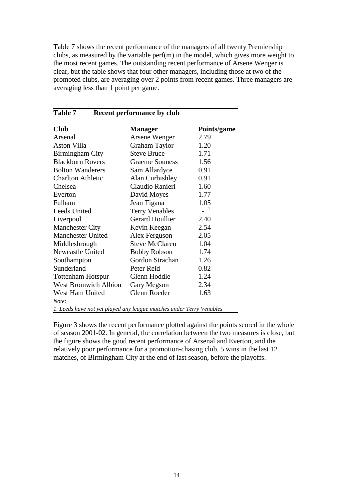Table 7 shows the recent performance of the managers of all twenty Premiership clubs, as measured by the variable perf(m) in the model, which gives more weight to the most recent games. The outstanding recent performance of Arsene Wenger is clear, but the table shows that four other managers, including those at two of the promoted clubs, are averaging over 2 points from recent games. Three managers are averaging less than 1 point per game.

| <b>Table 7</b><br><b>Recent performance by club</b> |                        |             |  |
|-----------------------------------------------------|------------------------|-------------|--|
| <b>Club</b>                                         | <b>Manager</b>         | Points/game |  |
| Arsenal                                             | Arsene Wenger          | 2.79        |  |
| Aston Villa                                         | <b>Graham Taylor</b>   | 1.20        |  |
| Birmingham City                                     | <b>Steve Bruce</b>     | 1.71        |  |
| <b>Blackburn Rovers</b>                             | <b>Graeme Souness</b>  | 1.56        |  |
| <b>Bolton Wanderers</b>                             | Sam Allardyce          | 0.91        |  |
| <b>Charlton Athletic</b>                            | Alan Curbishley        | 0.91        |  |
| Chelsea                                             | Claudio Ranieri        | 1.60        |  |
| Everton                                             | David Moyes            | 1.77        |  |
| Fulham                                              | Jean Tigana            | 1.05        |  |
| <b>Leeds United</b>                                 | <b>Terry Venables</b>  | 1           |  |
| Liverpool                                           | <b>Gerard Houllier</b> | 2.40        |  |
| <b>Manchester City</b>                              | Kevin Keegan           | 2.54        |  |
| <b>Manchester United</b>                            | Alex Ferguson          | 2.05        |  |
| Middlesbrough                                       | <b>Steve McClaren</b>  | 1.04        |  |
| <b>Newcastle United</b>                             | <b>Bobby Robson</b>    | 1.74        |  |
| Southampton                                         | Gordon Strachan        | 1.26        |  |
| Sunderland                                          | Peter Reid             | 0.82        |  |
| <b>Tottenham Hotspur</b>                            | Glenn Hoddle           | 1.24        |  |
| <b>West Bromwich Albion</b>                         | Gary Megson            | 2.34        |  |
| West Ham United                                     | Glenn Roeder           | 1.63        |  |
| Note:                                               |                        |             |  |

*1. Leeds have not yet played any league matches under Terry Venables* 

Figure 3 shows the recent performance plotted against the points scored in the whole of season 2001-02. In general, the correlation between the two measures is close, but the figure shows the good recent performance of Arsenal and Everton, and the relatively poor performance for a promotion-chasing club, 5 wins in the last 12 matches, of Birmingham City at the end of last season, before the playoffs.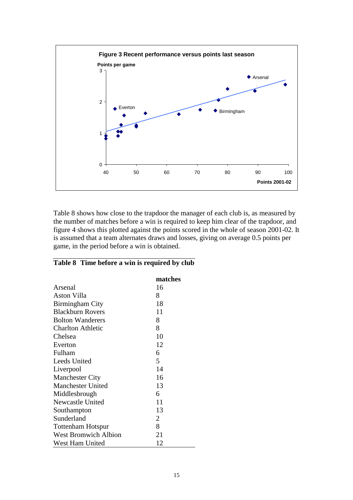

Table 8 shows how close to the trapdoor the manager of each club is, as measured by the number of matches before a win is required to keep him clear of the trapdoor, and figure 4 shows this plotted against the points scored in the whole of season 2001-02. It is assumed that a team alternates draws and losses, giving on average 0.5 points per game, in the period before a win is obtained.

## **Table 8 Time before a win is required by club**

|                             | matches        |
|-----------------------------|----------------|
| Arsenal                     | 16             |
| Aston Villa                 | 8              |
| Birmingham City             | 18             |
| <b>Blackburn Rovers</b>     | 11             |
| <b>Bolton Wanderers</b>     | 8              |
| <b>Charlton Athletic</b>    | 8              |
| Chelsea                     | 10             |
| Everton                     | 12             |
| Fulham                      | 6              |
| Leeds United                | 5              |
| Liverpool                   | 14             |
| <b>Manchester City</b>      | 16             |
| <b>Manchester United</b>    | 13             |
| Middlesbrough               | 6              |
| Newcastle United            | 11             |
| Southampton                 | 13             |
| Sunderland                  | $\overline{2}$ |
| <b>Tottenham Hotspur</b>    | 8              |
| <b>West Bromwich Albion</b> | 21             |
| West Ham United             | 12             |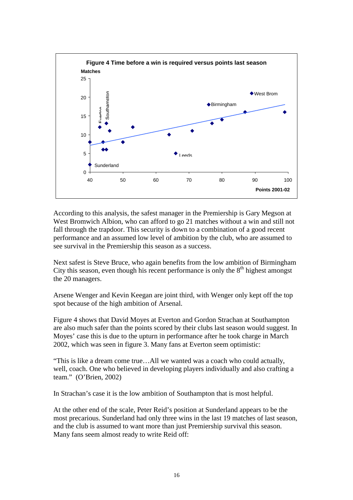

According to this analysis, the safest manager in the Premiership is Gary Megson at West Bromwich Albion, who can afford to go 21 matches without a win and still not fall through the trapdoor. This security is down to a combination of a good recent performance and an assumed low level of ambition by the club, who are assumed to see survival in the Premiership this season as a success.

Next safest is Steve Bruce, who again benefits from the low ambition of Birmingham City this season, even though his recent performance is only the  $8<sup>th</sup>$  highest amongst the 20 managers.

Arsene Wenger and Kevin Keegan are joint third, with Wenger only kept off the top spot because of the high ambition of Arsenal.

Figure 4 shows that David Moyes at Everton and Gordon Strachan at Southampton are also much safer than the points scored by their clubs last season would suggest. In Moyes' case this is due to the upturn in performance after he took charge in March 2002, which was seen in figure 3. Many fans at Everton seem optimistic:

"This is like a dream come true…All we wanted was a coach who could actually, well, coach. One who believed in developing players individually and also crafting a team." (O'Brien, 2002)

In Strachan's case it is the low ambition of Southampton that is most helpful.

At the other end of the scale, Peter Reid's position at Sunderland appears to be the most precarious. Sunderland had only three wins in the last 19 matches of last season, and the club is assumed to want more than just Premiership survival this season. Many fans seem almost ready to write Reid off: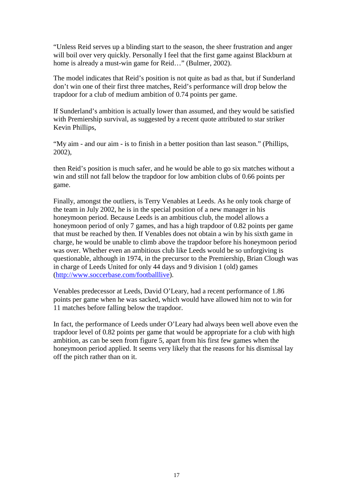"Unless Reid serves up a blinding start to the season, the sheer frustration and anger will boil over very quickly. Personally I feel that the first game against Blackburn at home is already a must-win game for Reid…" (Bulmer, 2002).

The model indicates that Reid's position is not quite as bad as that, but if Sunderland don't win one of their first three matches, Reid's performance will drop below the trapdoor for a club of medium ambition of 0.74 points per game.

If Sunderland's ambition is actually lower than assumed, and they would be satisfied with Premiership survival, as suggested by a recent quote attributed to star striker Kevin Phillips,

"My aim - and our aim - is to finish in a better position than last season." (Phillips, 2002),

then Reid's position is much safer, and he would be able to go six matches without a win and still not fall below the trapdoor for low ambition clubs of 0.66 points per game.

Finally, amongst the outliers, is Terry Venables at Leeds. As he only took charge of the team in July 2002, he is in the special position of a new manager in his honeymoon period. Because Leeds is an ambitious club, the model allows a honeymoon period of only 7 games, and has a high trapdoor of 0.82 points per game that must be reached by then. If Venables does not obtain a win by his sixth game in charge, he would be unable to climb above the trapdoor before his honeymoon period was over. Whether even an ambitious club like Leeds would be so unforgiving is questionable, although in 1974, in the precursor to the Premiership, Brian Clough was in charge of Leeds United for only 44 days and 9 division 1 (old) games (http://www.soccerbase.com/footballlive).

Venables predecessor at Leeds, David O'Leary, had a recent performance of 1.86 points per game when he was sacked, which would have allowed him not to win for 11 matches before falling below the trapdoor.

In fact, the performance of Leeds under O'Leary had always been well above even the trapdoor level of 0.82 points per game that would be appropriate for a club with high ambition, as can be seen from figure 5, apart from his first few games when the honeymoon period applied. It seems very likely that the reasons for his dismissal lay off the pitch rather than on it.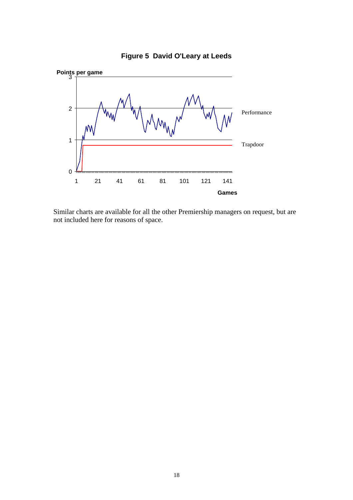

**Figure 5 David O'Leary at Leeds**

Similar charts are available for all the other Premiership managers on request, but are not included here for reasons of space.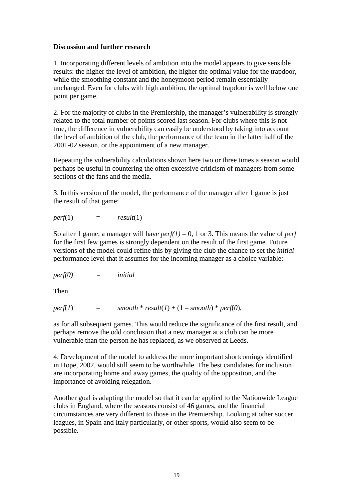## **Discussion and further research**

1. Incorporating different levels of ambition into the model appears to give sensible results: the higher the level of ambition, the higher the optimal value for the trapdoor, while the smoothing constant and the honeymoon period remain essentially unchanged. Even for clubs with high ambition, the optimal trapdoor is well below one point per game.

2. For the majority of clubs in the Premiership, the manager's vulnerability is strongly related to the total number of points scored last season. For clubs where this is not true, the difference in vulnerability can easily be understood by taking into account the level of ambition of the club, the performance of the team in the latter half of the 2001-02 season, or the appointment of a new manager.

Repeating the vulnerability calculations shown here two or three times a season would perhaps be useful in countering the often excessive criticism of managers from some sections of the fans and the media.

3. In this version of the model, the performance of the manager after 1 game is just the result of that game:

$$
perf(1) \qquad \qquad = \qquad result(1)
$$

So after 1 game, a manager will have  $perf(1) = 0$ , 1 or 3. This means the value of *perf* for the first few games is strongly dependent on the result of the first game. Future versions of the model could refine this by giving the club the chance to set the *initial* performance level that it assumes for the incoming manager as a choice variable:

$$
perf(0) \qquad \qquad = \qquad \text{initial}
$$

Then

 $perf(1)$  =  $smooth * result(1) + (1 - smooth) * pert(0),$ 

as for all subsequent games. This would reduce the significance of the first result, and perhaps remove the odd conclusion that a new manager at a club can be more vulnerable than the person he has replaced, as we observed at Leeds.

4. Development of the model to address the more important shortcomings identified in Hope, 2002, would still seem to be worthwhile. The best candidates for inclusion are incorporating home and away games, the quality of the opposition, and the importance of avoiding relegation.

Another goal is adapting the model so that it can be applied to the Nationwide League clubs in England, where the seasons consist of 46 games, and the financial circumstances are very different to those in the Premiership. Looking at other soccer leagues, in Spain and Italy particularly, or other sports, would also seem to be possible.